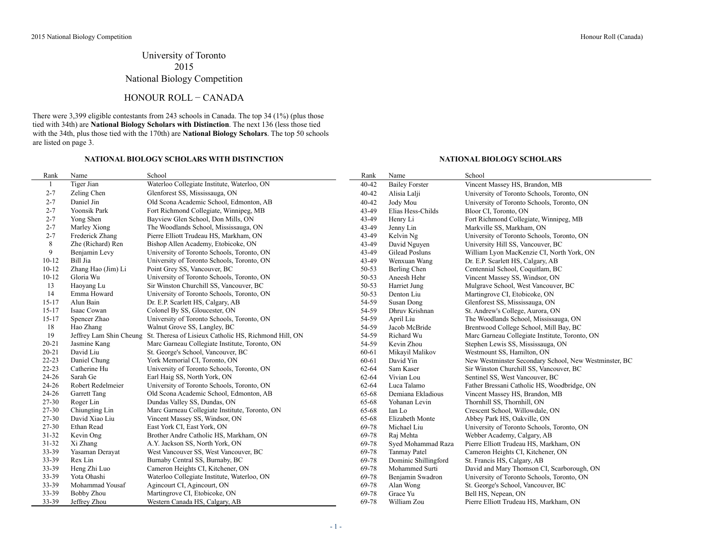# University of Toronto 2015 National Biology Competition

## HONOUR ROLL – CANADA

There were 3,399 eligible contestants from 243 schools in Canada. The top 34 (1%) (plus those tied with 34th) are **National Biology Scholars with Distinction**. The next 136 (less those tied with the 34th, plus those tied with the 170th) are **National Biology Scholars**. The top 50 schools are listed on page 3.

### **NATIONAL BIOLOGY SCHOLARS WITH DISTINCTION NATIONAL BIOLOGY SCHOLARS**

| Rank      | Name               | School                                                                        | Rank      | Name                  | School                                                |
|-----------|--------------------|-------------------------------------------------------------------------------|-----------|-----------------------|-------------------------------------------------------|
|           | Tiger Jian         | Waterloo Collegiate Institute, Waterloo, ON                                   | $40 - 42$ | <b>Bailey Forster</b> | Vincent Massey HS, Brandon, MB                        |
| $2 - 7$   | Zeling Chen        | Glenforest SS, Mississauga, ON                                                | 40-42     | Alisia Lalji          | University of Toronto Schools, Toronto, ON            |
| $2 - 7$   | Daniel Jin         | Old Scona Academic School, Edmonton, AB                                       | 40-42     | Jody Mou              | University of Toronto Schools, Toronto, ON            |
| $2 - 7$   | Yoonsik Park       | Fort Richmond Collegiate, Winnipeg, MB                                        | 43-49     | Elias Hess-Childs     | Bloor CI, Toronto, ON                                 |
| $2 - 7$   | Yong Shen          | Bayview Glen School, Don Mills, ON                                            | 43-49     | Henry Li              | Fort Richmond Collegiate, Winnipeg, MB                |
| $2 - 7$   | Marley Xiong       | The Woodlands School, Mississauga, ON                                         | 43-49     | Jenny Lin             | Markville SS, Markham, ON                             |
| $2 - 7$   | Frederick Zhang    | Pierre Elliott Trudeau HS, Markham, ON                                        | 43-49     | Kelvin Ng             | University of Toronto Schools, Toronto, ON            |
| 8         | Zhe (Richard) Ren  | Bishop Allen Academy, Etobicoke, ON                                           | 43-49     | David Nguyen          | University Hill SS, Vancouver, BC                     |
| 9         | Benjamin Levy      | University of Toronto Schools, Toronto, ON                                    | 43-49     | Gilead Posluns        | William Lyon MacKenzie CI, North York, ON             |
| $10 - 12$ | Bill Jia           | University of Toronto Schools, Toronto, ON                                    | 43-49     | Wenxuan Wang          | Dr. E.P. Scarlett HS, Calgary, AB                     |
| $10-12$   | Zhang Hao (Jim) Li | Point Grey SS, Vancouver, BC                                                  | 50-53     | Berling Chen          | Centennial School, Coquitlam, BC                      |
| $10 - 12$ | Gloria Wu          | University of Toronto Schools, Toronto, ON                                    | 50-53     | Aneesh Hehr           | Vincent Massey SS, Windsor, ON                        |
| 13        | Haoyang Lu         | Sir Winston Churchill SS, Vancouver, BC                                       | 50-53     | Harriet Jung          | Mulgrave School, West Vancouver, BC                   |
| 14        | Emma Howard        | University of Toronto Schools, Toronto, ON                                    | 50-53     | Denton Liu            | Martingrove CI, Etobicoke, ON                         |
| $15 - 17$ | Alun Bain          | Dr. E.P. Scarlett HS, Calgary, AB                                             | 54-59     | Susan Dong            | Glenforest SS, Mississauga, ON                        |
| $15 - 17$ | Isaac Cowan        | Colonel By SS, Gloucester, ON                                                 | 54-59     | Dhruv Krishnan        | St. Andrew's College, Aurora, ON                      |
| $15 - 17$ | Spencer Zhao       | University of Toronto Schools, Toronto, ON                                    | 54-59     | April Liu             | The Woodlands School, Mississauga, ON                 |
| 18        | Hao Zhang          | Walnut Grove SS, Langley, BC                                                  | 54-59     | Jacob McBride         | Brentwood College School, Mill Bay, BC                |
| 19        |                    | Jeffrey Lam Shin Cheung St. Theresa of Lisieux Catholic HS, Richmond Hill, ON | 54-59     | Richard Wu            | Marc Garneau Collegiate Institute, Toronto, ON        |
| $20 - 21$ | Jasmine Kang       | Marc Garneau Collegiate Institute, Toronto, ON                                | 54-59     | Kevin Zhou            | Stephen Lewis SS, Mississauga, ON                     |
| $20 - 21$ | David Liu          | St. George's School, Vancouver, BC                                            | 60-61     | Mikayil Malikov       | Westmount SS, Hamilton, ON                            |
| $22 - 23$ | Daniel Chung       | York Memorial CI, Toronto, ON                                                 | 60-61     | David Yin             | New Westminster Secondary School, New Westminster, BC |
| 22-23     | Catherine Hu       | University of Toronto Schools, Toronto, ON                                    | 62-64     | Sam Kaser             | Sir Winston Churchill SS, Vancouver, BC               |
| 24-26     | Sarah Ge           | Earl Haig SS, North York, ON                                                  | 62-64     | Vivian Lou            | Sentinel SS, West Vancouver, BC                       |
| 24-26     | Robert Redelmeier  | University of Toronto Schools, Toronto, ON                                    | 62-64     | Luca Talamo           | Father Bressani Catholic HS, Woodbridge, ON           |
| 24-26     | Garrett Tang       | Old Scona Academic School, Edmonton, AB                                       | 65-68     | Demiana Ekladious     | Vincent Massey HS, Brandon, MB                        |
| 27-30     | Roger Lin          | Dundas Valley SS, Dundas, ON                                                  | 65-68     | Yohanan Levin         | Thornhill SS, Thornhill, ON                           |
| 27-30     | Chiungting Lin     | Marc Garneau Collegiate Institute, Toronto, ON                                | 65-68     | Ian Lo                | Crescent School, Willowdale, ON                       |
| 27-30     | David Xiao Liu     | Vincent Massey SS, Windsor, ON                                                | 65-68     | Elizabeth Monte       | Abbey Park HS, Oakville, ON                           |
| 27-30     | Ethan Read         | East York CI, East York, ON                                                   | 69-78     | Michael Liu           | University of Toronto Schools, Toronto, ON            |
| 31-32     | Kevin Ong          | Brother Andre Catholic HS, Markham, ON                                        | 69-78     | Raj Mehta             | Webber Academy, Calgary, AB                           |
| 31-32     | Xi Zhang           | A.Y. Jackson SS, North York, ON                                               | 69-78     | Syed Mohammad Raza    | Pierre Elliott Trudeau HS, Markham, ON                |
| 33-39     | Yasaman Derayat    | West Vancouver SS, West Vancouver, BC                                         | 69-78     | <b>Tanmay Patel</b>   | Cameron Heights CI, Kitchener, ON                     |
| 33-39     | Rex Lin            | Burnaby Central SS, Burnaby, BC                                               | 69-78     | Dominic Shillingford  | St. Francis HS, Calgary, AB                           |
| 33-39     | Heng Zhi Luo       | Cameron Heights CI, Kitchener, ON                                             | 69-78     | Mohammed Surti        | David and Mary Thomson CI, Scarborough, ON            |
| 33-39     | Yota Ohashi        | Waterloo Collegiate Institute, Waterloo, ON                                   | 69-78     | Benjamin Swadron      | University of Toronto Schools, Toronto, ON            |
| 33-39     | Mohammad Yousaf    | Agincourt CI, Agincourt, ON                                                   | 69-78     | Alan Wong             | St. George's School, Vancouver, BC                    |
| 33-39     | Bobby Zhou         | Martingrove CI, Etobicoke, ON                                                 | 69-78     | Grace Yu              | Bell HS, Nepean, ON                                   |
| 33-39     | Jeffrey Zhou       | Western Canada HS, Calgary, AB                                                | 69-78     | William Zou           | Pierre Elliott Trudeau HS, Markham, ON                |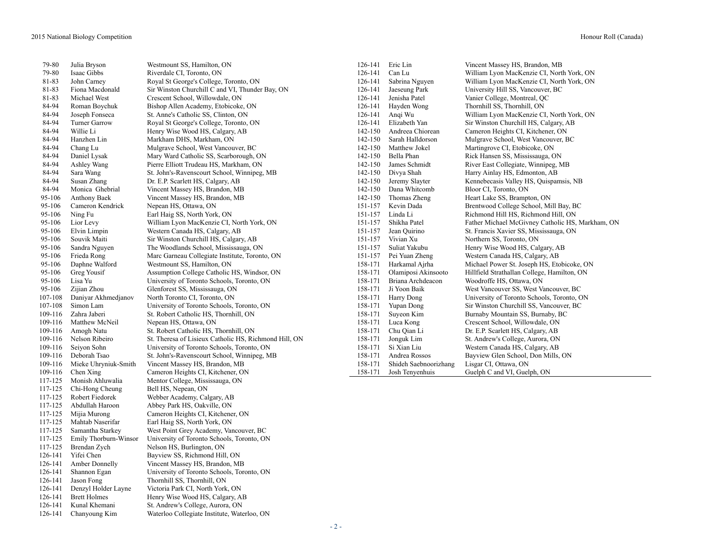| 79-80              | Julia Bryson          | Westmount SS, Hamilton, ON                            | 126-141            | Eric Lin              | Vincent Massey HS, Brandon, MB                   |
|--------------------|-----------------------|-------------------------------------------------------|--------------------|-----------------------|--------------------------------------------------|
| 79-80              | Isaac Gibbs           | Riverdale CI, Toronto, ON                             | 126-141            | Can Lu                | William Lyon MacKenzie CI, North York, ON        |
| 81-83              | John Carney           | Royal St George's College, Toronto, ON                | 126-141            | Sabrina Nguyen        | William Lyon MacKenzie CI, North York, ON        |
| 81-83              | Fiona Macdonald       | Sir Winston Churchill C and VI, Thunder Bay, ON       | 126-141            | Jaeseung Park         | University Hill SS, Vancouver, BC                |
| 81-83              | Michael West          | Crescent School, Willowdale, ON                       | 126-141            | Jenisha Patel         | Vanier College, Montreal, QC                     |
| 84-94              | Roman Boychuk         | Bishop Allen Academy, Etobicoke, ON                   | 126-141            | Hayden Wong           | Thornhill SS, Thornhill, ON                      |
| 84-94              | Joseph Fonseca        | St. Anne's Catholic SS, Clinton, ON                   | 126-141            | Angi Wu               | William Lyon MacKenzie CI, North York, ON        |
| 84-94              | <b>Turner Garrow</b>  | Royal St George's College, Toronto, ON                | 126-141            | Elizabeth Yan         | Sir Winston Churchill HS, Calgary, AB            |
| 84-94              | Willie Li             | Henry Wise Wood HS, Calgary, AB                       | 142-150            | Andreea Chiorean      | Cameron Heights CI, Kitchener, ON                |
| 84-94              | Hanzhen Lin           | Markham DHS, Markham, ON                              | 142-150            | Sarah Halldorson      | Mulgrave School, West Vancouver, BC              |
| 84-94              | Chang Lu              | Mulgrave School, West Vancouver, BC                   | 142-150            | Matthew Jokel         | Martingrove CI, Etobicoke, ON                    |
| 84-94              | Daniel Lysak          | Mary Ward Catholic SS, Scarborough, ON                | 142-150            | Bella Phan            | Rick Hansen SS, Mississauga, ON                  |
| 84-94              | Ashley Wang           | Pierre Elliott Trudeau HS, Markham, ON                | 142-150            | James Schmidt         | River East Collegiate, Winnipeg, MB              |
| 84-94              | Sara Wang             | St. John's-Ravenscourt School, Winnipeg, MB           | 142-150            | Divya Shah            | Harry Ainlay HS, Edmonton, AB                    |
| 84-94              | Susan Zhang           | Dr. E.P. Scarlett HS, Calgary, AB                     | 142-150            | Jeremy Slayter        | Kennebecasis Valley HS, Quispamsis, NB           |
| 84-94              | Monica Ghebrial       | Vincent Massey HS, Brandon, MB                        | 142-150            | Dana Whitcomb         | Bloor CI, Toronto, ON                            |
| 95-106             | <b>Anthony Baek</b>   | Vincent Massey HS, Brandon, MB                        | 142-150            | Thomas Zheng          | Heart Lake SS, Brampton, ON                      |
| 95-106             | Cameron Kendrick      | Nepean HS, Ottawa, ON                                 | 151-157            | Kevin Dada            | Brentwood College School, Mill Bay, BC           |
| 95-106             | Ning Fu               | Earl Haig SS, North York, ON                          | 151-157            | Linda Li              | Richmond Hill HS, Richmond Hill, ON              |
| 95-106             | Lior Levy             | William Lyon MacKenzie CI, North York, ON             | 151-157            | Shikha Patel          | Father Michael McGivney Catholic HS, Markham, ON |
| 95-106             | Elvin Limpin          | Western Canada HS, Calgary, AB                        | 151-157            | Jean Ouirino          | St. Francis Xavier SS, Mississauga, ON           |
| 95-106             | Souvik Maiti          | Sir Winston Churchill HS, Calgary, AB                 | 151-157            | Vivian Xu             | Northern SS, Toronto, ON                         |
| 95-106             | Sandra Nguyen         | The Woodlands School, Mississauga, ON                 | 151-157            | Suliat Yakubu         | Henry Wise Wood HS, Calgary, AB                  |
| 95-106             | Frieda Rong           | Marc Garneau Collegiate Institute, Toronto, ON        | 151-157            | Pei Yuan Zheng        | Western Canada HS, Calgary, AB                   |
| 95-106             | Daphne Walford        | Westmount SS, Hamilton, ON                            | 158-171            | Harkamal Ajrha        | Michael Power St. Joseph HS, Etobicoke, ON       |
| 95-106             | Greg Yousif           | Assumption College Catholic HS, Windsor, ON           | 158-171            | Olamiposi Akinsooto   | Hillfield Strathallan College, Hamilton, ON      |
| 95-106             | Lisa Yu               | University of Toronto Schools, Toronto, ON            | 158-171            | Briana Archdeacon     | Woodroffe HS, Ottawa, ON                         |
| 95-106             | Zijian Zhou           | Glenforest SS, Mississauga, ON                        | 158-171            | Ji Yoon Baik          | West Vancouver SS, West Vancouver, BC            |
| 107-108            | Daniyar Akhmedianov   | North Toronto CI, Toronto, ON                         | 158-171            | Harry Dong            | University of Toronto Schools, Toronto, ON       |
| 107-108            | Simon Lam             | University of Toronto Schools, Toronto, ON            | 158-171            | Yupan Dong            | Sir Winston Churchill SS, Vancouver, BC          |
| 109-116            | Zahra Jaberi          | St. Robert Catholic HS, Thornhill, ON                 | 158-171            | Suyeon Kim            | Burnaby Mountain SS, Burnaby, BC                 |
| 109-116            | Matthew McNeil        | Nepean HS, Ottawa, ON                                 | 158-171            | Luca Kong             | Crescent School, Willowdale, ON                  |
| 109-116            | Amogh Natu            | St. Robert Catholic HS, Thornhill, ON                 | 158-171            | Chu Qian Li           | Dr. E.P. Scarlett HS, Calgary, AB                |
| 109-116            |                       |                                                       |                    |                       |                                                  |
| 109-116            | Nelson Ribeiro        | St. Theresa of Lisieux Catholic HS, Richmond Hill, ON | 158-171<br>158-171 | Jonguk Lim            | St. Andrew's College, Aurora, ON                 |
|                    | Seiyon Sohn           | University of Toronto Schools, Toronto, ON            |                    | Si Xian Liu           | Western Canada HS, Calgary, AB                   |
| 109-116            | Deborah Tsao          | St. John's-Ravenscourt School, Winnipeg, MB           | 158-171            | Andrea Rossos         | Bayview Glen School, Don Mills, ON               |
| 109-116<br>109-116 | Mieke Uhryniuk-Smith  | Vincent Massey HS, Brandon, MB                        | 158-171            | Shideh Saebnoorizhang | Lisgar CI, Ottawa, ON                            |
|                    | Chen Xing             | Cameron Heights CI, Kitchener, ON                     | 158-171            | Josh Tenyenhuis       | Guelph C and VI, Guelph, ON                      |
| 117-125            | Monish Ahluwalia      | Mentor College, Mississauga, ON                       |                    |                       |                                                  |
| 117-125<br>117-125 | Chi-Hong Cheung       | Bell HS, Nepean, ON                                   |                    |                       |                                                  |
|                    | Robert Fiedorek       | Webber Academy, Calgary, AB                           |                    |                       |                                                  |
| 117-125            | Abdullah Haroon       | Abbey Park HS, Oakville, ON                           |                    |                       |                                                  |
| 117-125            | Mijia Murong          | Cameron Heights CI, Kitchener, ON                     |                    |                       |                                                  |
| 117-125            | Mahtab Naserifar      | Earl Haig SS, North York, ON                          |                    |                       |                                                  |
| 117-125            | Samantha Starkey      | West Point Grey Academy, Vancouver, BC                |                    |                       |                                                  |
| 117-125            | Emily Thorburn-Winsor | University of Toronto Schools, Toronto, ON            |                    |                       |                                                  |
| 117-125            | Brendan Zych          | Nelson HS, Burlington, ON                             |                    |                       |                                                  |
| 126-141            | Yifei Chen            | Bayview SS, Richmond Hill, ON                         |                    |                       |                                                  |
| 126-141            | Amber Donnelly        | Vincent Massey HS, Brandon, MB                        |                    |                       |                                                  |
| 126-141            | Shannon Egan          | University of Toronto Schools, Toronto, ON            |                    |                       |                                                  |
| 126-141            | Jason Fong            | Thornhill SS, Thornhill, ON                           |                    |                       |                                                  |
| 126-141            | Denzyl Holder Layne   | Victoria Park CI, North York, ON                      |                    |                       |                                                  |
| 126-141            | <b>Brett Holmes</b>   | Henry Wise Wood HS, Calgary, AB                       |                    |                       |                                                  |
| 126-141            | Kunal Khemani         | St. Andrew's College, Aurora, ON                      |                    |                       |                                                  |
| 126-141            | Chanyoung Kim         | Waterloo Collegiate Institute, Waterloo, ON           |                    |                       |                                                  |